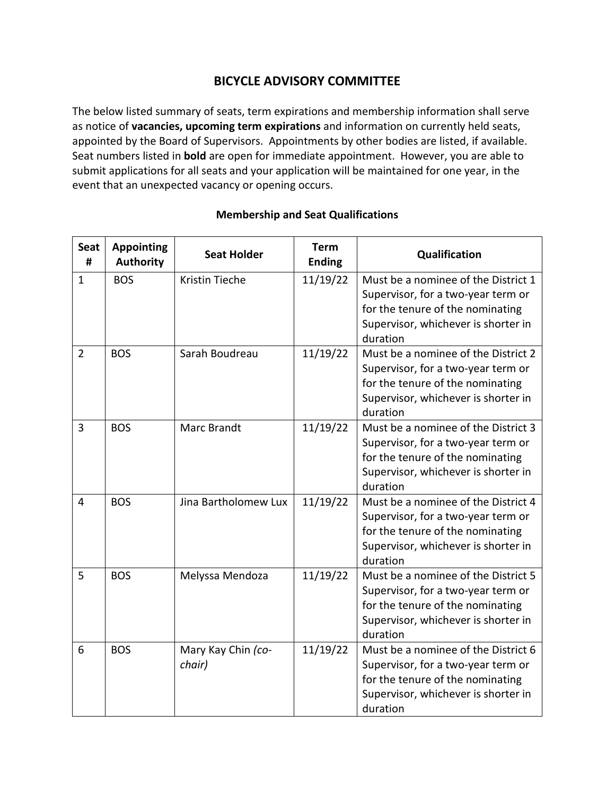## **BICYCLE ADVISORY COMMITTEE**

The below listed summary of seats, term expirations and membership information shall serve as notice of **vacancies, upcoming term expirations** and information on currently held seats, appointed by the Board of Supervisors. Appointments by other bodies are listed, if available. Seat numbers listed in **bold** are open for immediate appointment. However, you are able to submit applications for all seats and your application will be maintained for one year, in the event that an unexpected vacancy or opening occurs.

| <b>Seat</b><br># | <b>Appointing</b><br><b>Authority</b> | <b>Seat Holder</b>           | <b>Term</b><br><b>Ending</b> | Qualification                                                                                                                                                    |
|------------------|---------------------------------------|------------------------------|------------------------------|------------------------------------------------------------------------------------------------------------------------------------------------------------------|
| $\mathbf{1}$     | <b>BOS</b>                            | Kristin Tieche               | 11/19/22                     | Must be a nominee of the District 1<br>Supervisor, for a two-year term or<br>for the tenure of the nominating<br>Supervisor, whichever is shorter in<br>duration |
| $\overline{2}$   | <b>BOS</b>                            | Sarah Boudreau               | 11/19/22                     | Must be a nominee of the District 2<br>Supervisor, for a two-year term or<br>for the tenure of the nominating<br>Supervisor, whichever is shorter in<br>duration |
| $\overline{3}$   | <b>BOS</b>                            | <b>Marc Brandt</b>           | 11/19/22                     | Must be a nominee of the District 3<br>Supervisor, for a two-year term or<br>for the tenure of the nominating<br>Supervisor, whichever is shorter in<br>duration |
| 4                | <b>BOS</b>                            | Jina Bartholomew Lux         | 11/19/22                     | Must be a nominee of the District 4<br>Supervisor, for a two-year term or<br>for the tenure of the nominating<br>Supervisor, whichever is shorter in<br>duration |
| 5                | <b>BOS</b>                            | Melyssa Mendoza              | 11/19/22                     | Must be a nominee of the District 5<br>Supervisor, for a two-year term or<br>for the tenure of the nominating<br>Supervisor, whichever is shorter in<br>duration |
| 6                | <b>BOS</b>                            | Mary Kay Chin (co-<br>chair) | 11/19/22                     | Must be a nominee of the District 6<br>Supervisor, for a two-year term or<br>for the tenure of the nominating<br>Supervisor, whichever is shorter in<br>duration |

## **Membership and Seat Qualifications**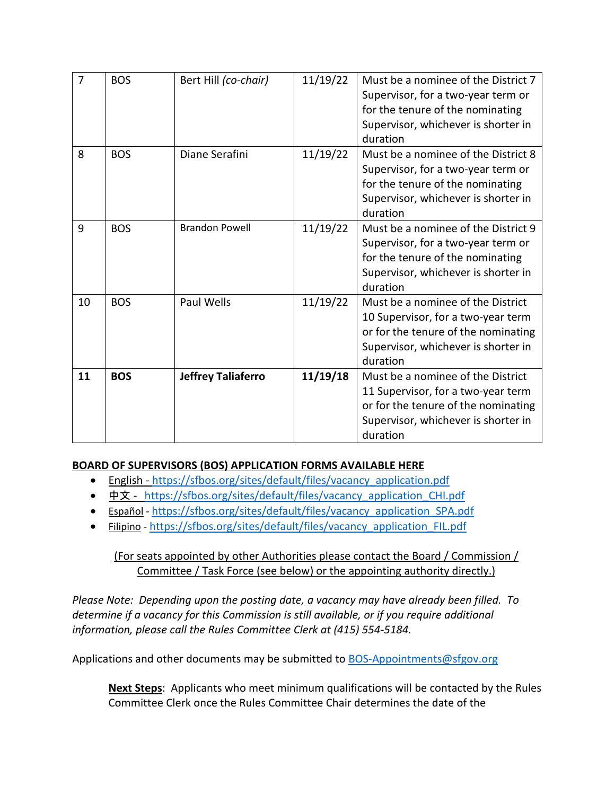| $\overline{7}$ | <b>BOS</b> | Bert Hill (co-chair)      | 11/19/22 | Must be a nominee of the District 7<br>Supervisor, for a two-year term or<br>for the tenure of the nominating<br>Supervisor, whichever is shorter in<br>duration  |
|----------------|------------|---------------------------|----------|-------------------------------------------------------------------------------------------------------------------------------------------------------------------|
| 8              | <b>BOS</b> | Diane Serafini            | 11/19/22 | Must be a nominee of the District 8<br>Supervisor, for a two-year term or<br>for the tenure of the nominating<br>Supervisor, whichever is shorter in<br>duration  |
| 9              | <b>BOS</b> | <b>Brandon Powell</b>     | 11/19/22 | Must be a nominee of the District 9<br>Supervisor, for a two-year term or<br>for the tenure of the nominating<br>Supervisor, whichever is shorter in<br>duration  |
| 10             | <b>BOS</b> | <b>Paul Wells</b>         | 11/19/22 | Must be a nominee of the District<br>10 Supervisor, for a two-year term<br>or for the tenure of the nominating<br>Supervisor, whichever is shorter in<br>duration |
| 11             | <b>BOS</b> | <b>Jeffrey Taliaferro</b> | 11/19/18 | Must be a nominee of the District<br>11 Supervisor, for a two-year term<br>or for the tenure of the nominating<br>Supervisor, whichever is shorter in<br>duration |

## **BOARD OF SUPERVISORS (BOS) APPLICATION FORMS AVAILABLE HERE**

- English [https://sfbos.org/sites/default/files/vacancy\\_application.pdf](https://sfbos.org/sites/default/files/vacancy_application.pdf)
- [中文](https://sfbos.org/sites/default/files/vacancy_application_CHI.pdf) https://sfbos.org/sites/default/files/vacancy application CHI.pdf
- [Español](https://sfbos.org/sites/default/files/vacancy_application_SPA.pdf) https://sfbos.org/sites/default/files/vacancy application SPA.pdf
- [Filipino](https://sfbos.org/sites/default/files/vacancy_application_FIL.pdf) [https://sfbos.org/sites/default/files/vacancy\\_application\\_FIL.pdf](https://sfbos.org/sites/default/files/vacancy_application_FIL.pdf)

## (For seats appointed by other Authorities please contact the Board / Commission / Committee / Task Force (see below) or the appointing authority directly.)

*Please Note: Depending upon the posting date, a vacancy may have already been filled. To determine if a vacancy for this Commission is still available, or if you require additional information, please call the Rules Committee Clerk at (415) 554-5184.*

Applications and other documents may be submitted to [BOS-Appointments@sfgov.org](mailto:BOS-Appointments@sfgov.org)

**Next Steps**: Applicants who meet minimum qualifications will be contacted by the Rules Committee Clerk once the Rules Committee Chair determines the date of the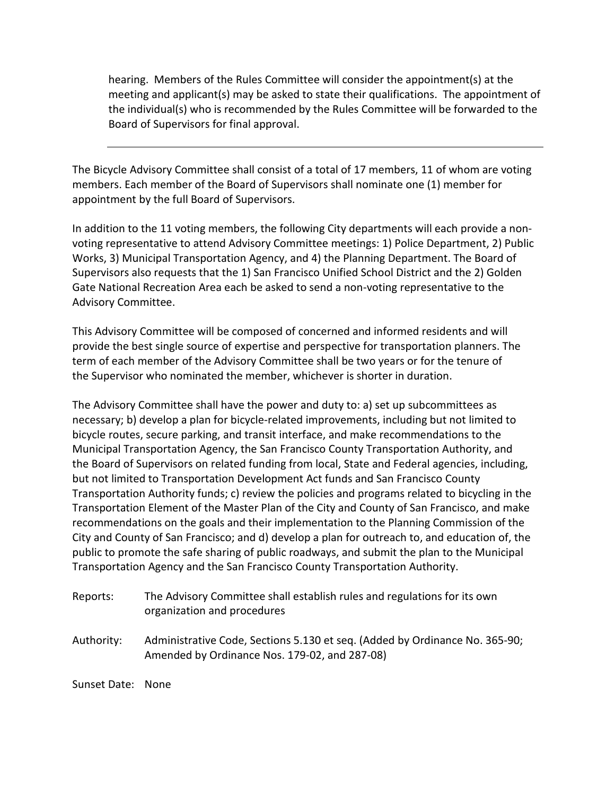hearing. Members of the Rules Committee will consider the appointment(s) at the meeting and applicant(s) may be asked to state their qualifications. The appointment of the individual(s) who is recommended by the Rules Committee will be forwarded to the Board of Supervisors for final approval.

The Bicycle Advisory Committee shall consist of a total of 17 members, 11 of whom are voting members. Each member of the Board of Supervisors shall nominate one (1) member for appointment by the full Board of Supervisors.

In addition to the 11 voting members, the following City departments will each provide a nonvoting representative to attend Advisory Committee meetings: 1) Police Department, 2) Public Works, 3) Municipal Transportation Agency, and 4) the Planning Department. The Board of Supervisors also requests that the 1) San Francisco Unified School District and the 2) Golden Gate National Recreation Area each be asked to send a non-voting representative to the Advisory Committee.

This Advisory Committee will be composed of concerned and informed residents and will provide the best single source of expertise and perspective for transportation planners. The term of each member of the Advisory Committee shall be two years or for the tenure of the Supervisor who nominated the member, whichever is shorter in duration.

The Advisory Committee shall have the power and duty to: a) set up subcommittees as necessary; b) develop a plan for bicycle-related improvements, including but not limited to bicycle routes, secure parking, and transit interface, and make recommendations to the Municipal Transportation Agency, the San Francisco County Transportation Authority, and the Board of Supervisors on related funding from local, State and Federal agencies, including, but not limited to Transportation Development Act funds and San Francisco County Transportation Authority funds; c) review the policies and programs related to bicycling in the Transportation Element of the Master Plan of the City and County of San Francisco, and make recommendations on the goals and their implementation to the Planning Commission of the City and County of San Francisco; and d) develop a plan for outreach to, and education of, the public to promote the safe sharing of public roadways, and submit the plan to the Municipal Transportation Agency and the San Francisco County Transportation Authority.

| Reports:   | The Advisory Committee shall establish rules and regulations for its own<br>organization and procedures                      |
|------------|------------------------------------------------------------------------------------------------------------------------------|
| Authority: | Administrative Code, Sections 5.130 et seq. (Added by Ordinance No. 365-90;<br>Amended by Ordinance Nos. 179-02, and 287-08) |
|            |                                                                                                                              |

Sunset Date: None